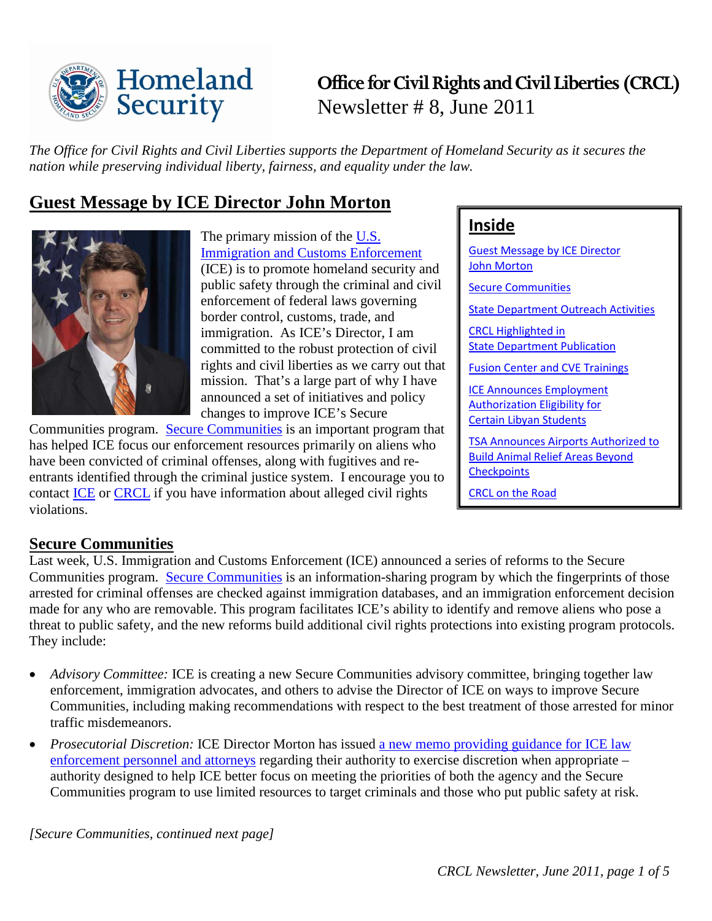

**Office for Civil Rights and Civil Liberties (CRCL)** Newsletter # 8, June 2011

*The Office for Civil Rights and Civil Liberties supports the Department of Homeland Security as it secures the nation while preserving individual liberty, fairness, and equality under the law.*

# <span id="page-0-0"></span>**Guest Message by ICE Director John Morton**



The primary mission of the [U.S.](http://www.ice.gov/)  [Immigration and Customs Enforcement](http://www.ice.gov/) (ICE) is to promote homeland security and public safety through the criminal and civil enforcement of federal laws governing border control, customs, trade, and immigration. As ICE's Director, I am committed to the robust protection of civil rights and civil liberties as we carry out that mission. That's a large part of why I have announced a set of initiatives and policy changes to improve ICE's Secure

Communities program. [Secure Communities](http://www.ice.gov/secure_communities/) is an important program that has helped ICE focus our enforcement resources primarily on aliens who have been convicted of criminal offenses, along with fugitives and reentrants identified through the criminal justice system. I encourage you to contact [ICE](http://www.ice.gov/secure_communities/) or [CRCL](http://www.dhs.gov/xabout/structure/gc_1273526572731.shtm) if you have information about alleged civil rights violations.

# **Inside**

[Guest Message](#page-0-0) by ICE Director [John Morton](#page-0-0) **[Secure Communities](#page-0-1)** [State Department Outreach Activities](#page-1-0) [CRCL Highlighted in](#page-2-0)  [State Department Publication](#page-2-0) [Fusion Center and CVE Trainings](#page-2-1) [ICE Announces Employment](#page-2-2)  [Authorization Eligibility for](#page-2-2)  [Certain Libyan Students](#page-2-2) [TSA Announces Airports Authorized to](#page-3-0)  [Build Animal Relief Areas Beyond](#page-3-0)  **[Checkpoints](#page-3-0)** [CRCL on the Road](#page-3-1)

#### <span id="page-0-1"></span>**Secure Communities**

Last week, U.S. Immigration and Customs Enforcement (ICE) announced a series of reforms to the Secure Communities program. [Secure Communities](http://www.ice.gov/secure_communities/) is an information-sharing program by which the fingerprints of those arrested for criminal offenses are checked against immigration databases, and an immigration enforcement decision made for any who are removable. This program facilitates ICE's ability to identify and remove aliens who pose a threat to public safety, and the new reforms build additional civil rights protections into existing program protocols. They include:

- *Advisory Committee:* ICE is creating a new Secure Communities advisory committee, bringing together law enforcement, immigration advocates, and others to advise the Director of ICE on ways to improve Secure Communities, including making recommendations with respect to the best treatment of those arrested for minor traffic misdemeanors.
- *Prosecutorial Discretion:* ICE Director Morton has issued [a new memo providing guidance for ICE law](http://www.ice.gov/doclib/secure-communities/pdf/prosecutorial-discretion-memo.pdf)  [enforcement personnel and attorneys](http://www.ice.gov/doclib/secure-communities/pdf/prosecutorial-discretion-memo.pdf) regarding their authority to exercise discretion when appropriate – authority designed to help ICE better focus on meeting the priorities of both the agency and the Secure Communities program to use limited resources to target criminals and those who put public safety at risk.

*[Secure Communities, continued next page]*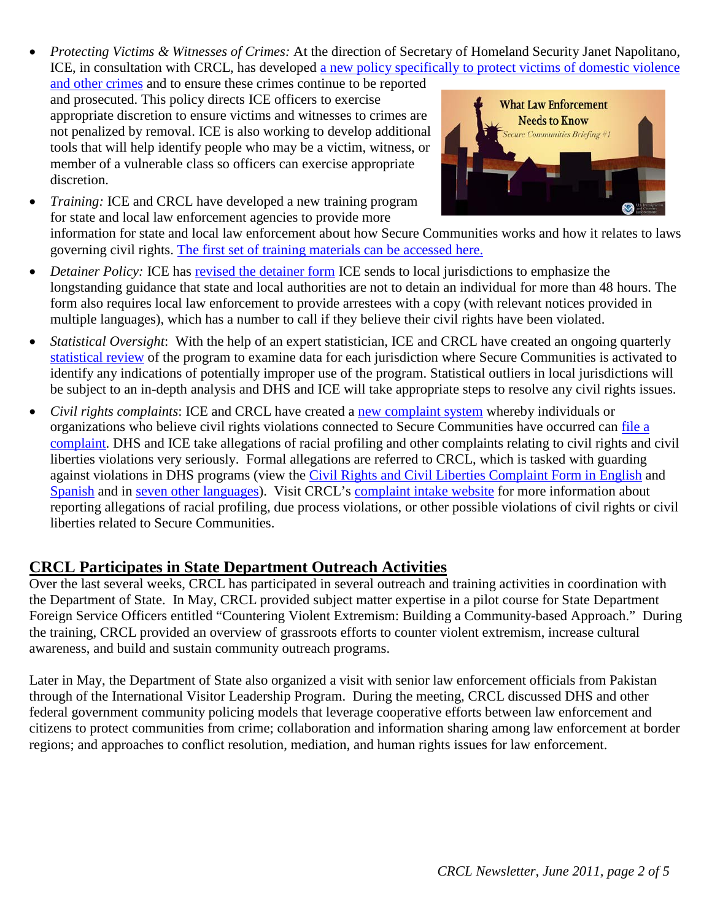- *Protecting Victims & Witnesses of Crimes:* At the direction of Secretary of Homeland Security Janet Napolitano, ICE, in consultation with CRCL, has developed a new policy specifically to protect victims of domestic violence
- [and other crimes](http://www.ice.gov/doclib/secure-communities/pdf/domestic-violence.pdf) and to ensure these crimes continue to be reported and prosecuted. This policy directs ICE officers to exercise appropriate discretion to ensure victims and witnesses to crimes are not penalized by removal. ICE is also working to develop additional tools that will help identify people who may be a victim, witness, or member of a vulnerable class so officers can exercise appropriate discretion.
- *Training:* ICE and CRCL have developed a new training program for state and local law enforcement agencies to provide more



information for state and local law enforcement about how Secure Communities works and how it relates to laws governing civil rights. [The first set of training materials can be accessed](http://www.ice.gov/secure_communities/crcl.htm) here.

- *Detainer Policy:* ICE has [revised the detainer form](http://www.ice.gov/doclib/secure-communities/pdf/immigration-detainer-form.pdf) ICE sends to local jurisdictions to emphasize the longstanding guidance that state and local authorities are not to detain an individual for more than 48 hours. The form also requires local law enforcement to provide arrestees with a copy (with relevant notices provided in multiple languages), which has a number to call if they believe their civil rights have been violated.
- *Statistical Oversight*: With the help of an expert statistician, ICE and CRCL have created an ongoing quarterly [statistical](http://www.ice.gov/doclib/secure-communities/pdf/statisticalmonitoring.pdf) review of the program to examine data for each jurisdiction where Secure Communities is activated to identify any indications of potentially improper use of the program. Statistical outliers in local jurisdictions will be subject to an in-depth analysis and DHS and ICE will take appropriate steps to resolve any civil rights issues.
- *Civil rights complaints*: ICE and CRCL have created a [new complaint system](http://www.ice.gov/doclib/secure-communities/pdf/complaintprotocol.pdf) whereby individuals or organizations who believe civil rights violations connected to Secure Communities have occurred can file a [complaint.](http://www.dhs.gov/xabout/structure/gc_1273526572731.shtm#1) DHS and ICE take allegations of racial profiling and other complaints relating to civil rights and civil liberties violations very seriously. Formal allegations are referred to CRCL, which is tasked with guarding against violations in DHS programs (view the [Civil Rights and Civil Liberties Complaint Form in English](http://www.ice.gov/doclib/secure-communities/pdf/crcl-complaint-submission-form-english.pdf) and [Spanish](http://www.ice.gov/doclib/secure-communities/pdf/crcl-complaint-form-spanish.pdf) and in [seven other languages\)](http://www.dhs.gov/xabout/structure/gc_1273526572731.shtm#1). Visit CRCL's [complaint intake website](http://www.dhs.gov/xabout/structure/gc_1273526572731.shtm) for more information about reporting allegations of racial profiling, due process violations, or other possible violations of civil rights or civil liberties related to Secure Communities.

### <span id="page-1-0"></span>**CRCL Participates in State Department Outreach Activities**

Over the last several weeks, CRCL has participated in several outreach and training activities in coordination with the Department of State. In May, CRCL provided subject matter expertise in a pilot course for State Department Foreign Service Officers entitled "Countering Violent Extremism: Building a Community-based Approach." During the training, CRCL provided an overview of grassroots efforts to counter violent extremism, increase cultural awareness, and build and sustain community outreach programs.

Later in May, the Department of State also organized a visit with senior law enforcement officials from Pakistan through of the International Visitor Leadership Program. During the meeting, CRCL discussed DHS and other federal government community policing models that leverage cooperative efforts between law enforcement and citizens to protect communities from crime; collaboration and information sharing among law enforcement at border regions; and approaches to conflict resolution, mediation, and human rights issues for law enforcement.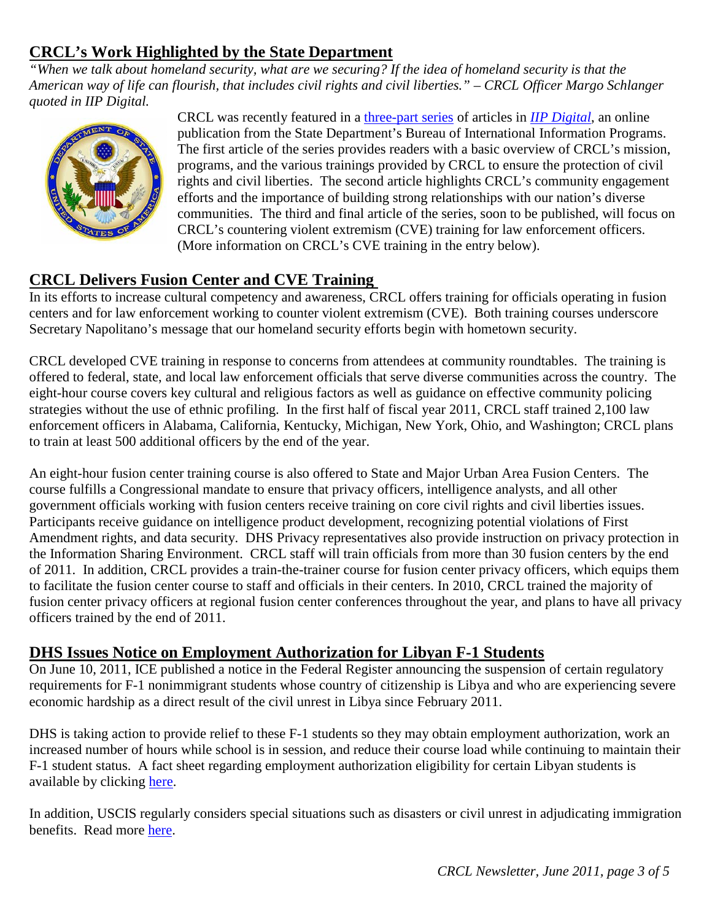## <span id="page-2-0"></span>**CRCL's Work Highlighted by the State Department**

*"When we talk about homeland security, what are we securing? If the idea of homeland security is that the American way of life can flourish, that includes civil rights and civil liberties." – CRCL Officer Margo Schlanger quoted in IIP Digital.* 



CRCL was recently featured in a [three-part series](http://iipdigital.usembassy.gov/st/english/article/2011/05/20110503141027kram8.182925e-02.html#axzz1PNP1kzPH) of articles in *[IIP Digital](http://iipdigital.usembassy.gov/iipdigital-en/index.html#axzz1PNP1kzPH)*, an online publication from the State Department's Bureau of International Information Programs. The first article of the series provides readers with a basic overview of CRCL's mission, programs, and the various trainings provided by CRCL to ensure the protection of civil rights and civil liberties. The second article highlights CRCL's community engagement efforts and the importance of building strong relationships with our nation's diverse communities. The third and final article of the series, soon to be published, will focus on CRCL's countering violent extremism (CVE) training for law enforcement officers. (More information on CRCL's CVE training in the entry below).

## <span id="page-2-1"></span>**CRCL Delivers Fusion Center and CVE Training**

In its efforts to increase cultural competency and awareness, CRCL offers training for officials operating in fusion centers and for law enforcement working to counter violent extremism (CVE). Both training courses underscore Secretary Napolitano's message that our homeland security efforts begin with hometown security.

CRCL developed CVE training in response to concerns from attendees at community roundtables. The training is offered to federal, state, and local law enforcement officials that serve diverse communities across the country. The eight-hour course covers key cultural and religious factors as well as guidance on effective community policing strategies without the use of ethnic profiling. In the first half of fiscal year 2011, CRCL staff trained 2,100 law enforcement officers in Alabama, California, Kentucky, Michigan, New York, Ohio, and Washington; CRCL plans to train at least 500 additional officers by the end of the year.

An eight-hour fusion center training course is also offered to State and Major Urban Area Fusion Centers. The course fulfills a Congressional mandate to ensure that privacy officers, intelligence analysts, and all other government officials working with fusion centers receive training on core civil rights and civil liberties issues. Participants receive guidance on intelligence product development, recognizing potential violations of First Amendment rights, and data security. DHS Privacy representatives also provide instruction on privacy protection in the Information Sharing Environment. CRCL staff will train officials from more than 30 fusion centers by the end of 2011. In addition, CRCL provides a train-the-trainer course for fusion center privacy officers, which equips them to facilitate the fusion center course to staff and officials in their centers. In 2010, CRCL trained the majority of fusion center privacy officers at regional fusion center conferences throughout the year, and plans to have all privacy officers trained by the end of 2011.

### <span id="page-2-2"></span>**DHS Issues Notice on Employment Authorization for Libyan F-1 Students**

On June 10, 2011, ICE published a notice in the Federal Register announcing the suspension of certain regulatory requirements for F-1 nonimmigrant students whose country of citizenship is Libya and who are experiencing severe economic hardship as a direct result of the civil unrest in Libya since February 2011.

DHS is taking action to provide relief to these F-1 students so they may obtain employment authorization, work an increased number of hours while school is in session, and reduce their course load while continuing to maintain their F-1 student status. A fact sheet regarding employment authorization eligibility for certain Libyan students is available by clicking [here.](http://www.ice.gov/news/library/factsheets/libyan-student-employment.htm)

In addition, USCIS regularly considers special situations such as disasters or civil unrest in adjudicating immigration benefits. Read more [here.](http://www.uscis.gov/portal/site/uscis/menuitem.eb1d4c2a3e5b9ac89243c6a7543f6d1a/?vgnextoid=f34d3e4d77d73210VgnVCM100000082ca60aRCRD&vgnextchannel=f34d3e4d77d73210VgnVCM100000082ca60aRCRD)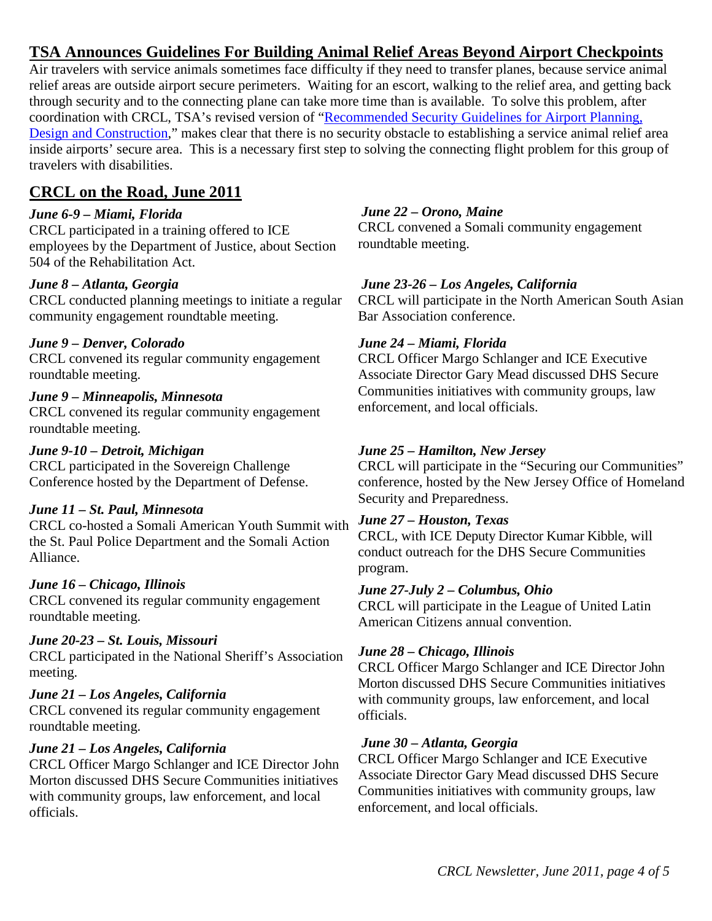## <span id="page-3-0"></span>**TSA Announces Guidelines For Building Animal Relief Areas Beyond Airport Checkpoints**

Air travelers with service animals sometimes face difficulty if they need to transfer planes, because service animal relief areas are outside airport secure perimeters. Waiting for an escort, walking to the relief area, and getting back through security and to the connecting plane can take more time than is available. To solve this problem, after coordination with CRCL, TSA's revised version of ["Recommended Security Guidelines for Airport Planning,](http://www.tsa.gov/assets/pdf/airport_security_design_guidelines.pdf)  [Design and Construction,](http://www.tsa.gov/assets/pdf/airport_security_design_guidelines.pdf)" makes clear that there is no security obstacle to establishing a service animal relief area inside airports' secure area. This is a necessary first step to solving the connecting flight problem for this group of travelers with disabilities.

## <span id="page-3-1"></span>**CRCL on the Road, June 2011**

#### *June 6-9 – Miami, Florida*

CRCL participated in a training offered to ICE employees by the Department of Justice, about Section 504 of the Rehabilitation Act.

#### *June 8 – Atlanta, Georgia*

CRCL conducted planning meetings to initiate a regular community engagement roundtable meeting.

#### *June 9 – Denver, Colorado*

CRCL convened its regular community engagement roundtable meeting.

## *June 9 – Minneapolis, Minnesota*

CRCL convened its regular community engagement roundtable meeting.

#### *June 9-10 – Detroit, Michigan*

CRCL participated in the Sovereign Challenge Conference hosted by the Department of Defense.

#### *June 11 – St. Paul, Minnesota*

CRCL co-hosted a Somali American Youth Summit with the St. Paul Police Department and the Somali Action Alliance.

#### *June 16 – Chicago, Illinois*

CRCL convened its regular community engagement roundtable meeting.

#### *June 20-23 – St. Louis, Missouri*

CRCL participated in the National Sheriff's Association meeting.

#### *June 21 – Los Angeles, California*

CRCL convened its regular community engagement roundtable meeting.

#### *June 21 – Los Angeles, California*

CRCL Officer Margo Schlanger and ICE Director John Morton discussed DHS Secure Communities initiatives with community groups, law enforcement, and local officials.

#### *June 22 – Orono, Maine*

CRCL convened a Somali community engagement roundtable meeting.

#### *June 23-26 – Los Angeles, California*

CRCL will participate in the North American South Asian Bar Association conference.

#### *June 24 – Miami, Florida*

CRCL Officer Margo Schlanger and ICE Executive Associate Director Gary Mead discussed DHS Secure Communities initiatives with community groups, law enforcement, and local officials.

#### *June 25 – Hamilton, New Jersey*

CRCL will participate in the "Securing our Communities" conference, hosted by the New Jersey Office of Homeland Security and Preparedness.

#### *June 27 – Houston, Texas*

CRCL, with ICE Deputy Director Kumar Kibble, will conduct outreach for the DHS Secure Communities program.

#### *June 27-July 2 – Columbus, Ohio*

CRCL will participate in the League of United Latin American Citizens annual convention.

#### *June 28 – Chicago, Illinois*

CRCL Officer Margo Schlanger and ICE Director John Morton discussed DHS Secure Communities initiatives with community groups, law enforcement, and local officials.

#### *June 30 – Atlanta, Georgia*

CRCL Officer Margo Schlanger and ICE Executive Associate Director Gary Mead discussed DHS Secure Communities initiatives with community groups, law enforcement, and local officials.